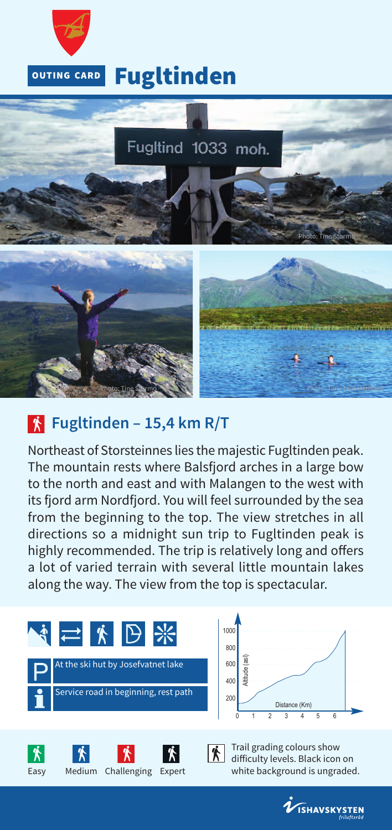

# **Fugltinden**



## **Fugltinden – 15,4 km R/T**

Northeast of Storsteinnes lies the majestic Fugltinden peak. The mountain rests where Balsfjord arches in a large bow to the north and east and with Malangen to the west with its fjord arm Nordfjord. You will feel surrounded by the sea from the beginning to the top. The view stretches in all directions so a midnight sun trip to Fugltinden peak is highly recommended. The trip is relatively long and offers a lot of varied terrain with several little mountain lakes along the way. The view from the top is spectacular.